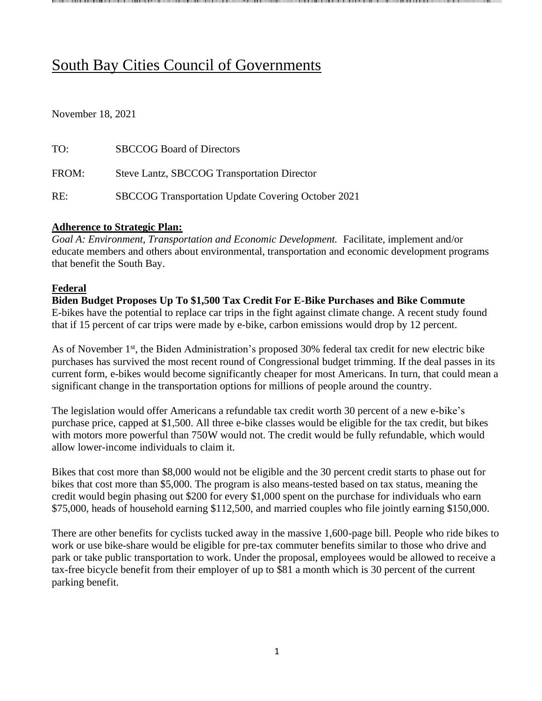# South Bay Cities Council of Governments

November 18, 2021

| TO:   | <b>SBCCOG Board of Directors</b>                   |
|-------|----------------------------------------------------|
| FROM: | Steve Lantz, SBCCOG Transportation Director        |
| RE:   | SBCCOG Transportation Update Covering October 2021 |

#### **Adherence to Strategic Plan:**

*Goal A: Environment, Transportation and Economic Development.* Facilitate, implement and/or educate members and others about environmental, transportation and economic development programs that benefit the South Bay.

**House Advances Budget Resolution and Bipartisan Infrastructure Legislation** Earlier today, the U.S. House of Representatives voted 220 Senate package to fund Build Back Better priorities not included in the Senate voting rights bill. As part of the agreement that allowed the House to move forward with legislation, a hard deadline of September 27th has been set for a vote on the Senate bill. Committees in both the House and the U.S. Senate will now begin drafting reconciliation legislation, a process they hope to comp instructions for committees to establish universal preschool for 3 elder care for working families; make community college tuition add hearing, dental, and vision coverage to Medicare; lower the price of prescription drugs; lower carbon emissions and transition much of the U.S. power grid to clean energy sources; invest in affordable housing; pr Metro staff is continuing to advocate for inclusion of Board reconciliation package, and we will continue to keep the Board app **House Advances Budget Resolution and Bipartisan Infrastructure Legislation** Earlier today, the U.S. House of Representatives voted 220 Senate package to fund Build Back Better priorities not included in the Senate voting rights bill. As part of the agreement that allowed the House to move forward wit legislation, a hard deadline of September 27th has been set for a vote on the Senate bill. Committees in both the House and the U.S. Senate will now begin drafting reconciliation legislation, a process they hope instructions for committees to establish universal preschool for 3 elder care for working families; make community college tuitio add hearing, dental, and vision coverage to Medicare; lower the price of prescription drugs; lower carbon emissions and transition much of the U.S. power grid to clean energy sources; invest in affordable hou provide a pathway to citizenship for immigrant families and workers; and more. Metro staff is continuing to advocate for inclusion of Board reconciliation package, and we will continue to keep the B ovide a pathway to citizenship for immigrant families and workers; and more. --passed passed *Infrastructure Investment and Jobs Act Infrastructure Investment and Jobs* to complete by September 15th. The framework for reconciliation legislation includes lete by September 15th. The framework for reconciliation legislation includes *Act*, a , a budget budget oard apprised of new developments. --approved Federal priorities as part of the broader approved Federal priorities as part of the broader --212 on a procedural measure to advance the 212 on a procedural measure to advance the n--free f free for two years; expand child tax credits; --framework for framework for and 4 and 4 rised of new developments. or two years; expand child tax credits; --passed bill, passed bill, --year year--olds; enhance child care and olds; enhance child care and the theas well as a separate as well as a separate \$3.5 trillion reconciliation \$3.5 trillion reconciliation --passed infrastructure passed infrastructure h all th all three ree pieces of pieces of sing;

#### **Federal**

**Biden Budget Proposes Up To \$1,500 Tax Credit For E-Bike Purchases and Bike Commute**  E-bikes have the potential to replace car trips in the fight against climate change. A recent study found that if 15 percent of car trips were made by e-bike, [carbon emissions would drop by 12 percent.](https://www.bicycling.com/news/a33798099/e-bikes-can-reduce-carbon-emissions-study/#:~:text=Take%20an%20E%2DBike%20to,emissions%20would%20drop%2012%20percent.&text=Research%20from%20a%20recent%20study,reducing%20carbon%20emissions%20in%20cities.)

As of November 1<sup>st</sup>, the Biden Administration's proposed 30% federal tax credit for new electric bike [purchases](https://www.theverge.com/2021/7/24/22590792/ebike-act-senate-brian-schatz-tax-credit-infrastructure) has survived the most recent round of Congressional budget trimming. If the deal passes in its current form, e-bikes would become significantly cheaper for most Americans. In turn, that could mean a significant change in the transportation options for millions of people around the country.

The legislation would offer Americans a refundable tax credit worth 30 percent of a new e-bike's purchase price, capped at \$1,500. All three e-bike classes would be eligible for the tax credit, but bikes with motors more powerful than 750W would not. The credit would be fully refundable, which would allow lower-income individuals to claim it.

Bikes that cost more than \$8,000 would not be eligible and the 30 percent credit starts to phase out for bikes that cost more than \$5,000. The program is also means-tested based on tax status, meaning the credit would begin phasing out \$200 for every \$1,000 spent on the purchase for individuals who earn \$75,000, heads of household earning \$112,500, and married couples who file jointly earning \$150,000.

There are other benefits for cyclists tucked away in the massive 1,600-page bill. People who ride bikes to work or use bike-share would be eligible for pre-tax commuter benefits similar to those who drive and park or take public transportation to work. Under the proposal, employees would be allowed to receive a tax-free bicycle benefit from their employer of up to \$81 a month which is 30 percent of the current parking benefit.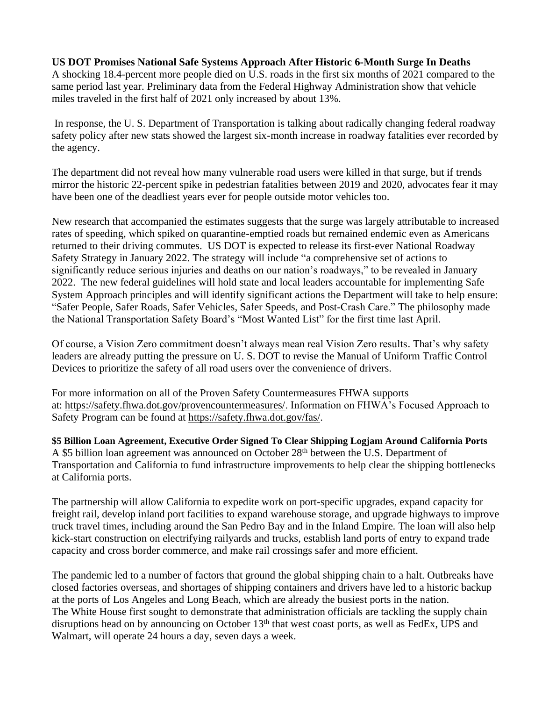#### **US DOT Promises National Safe Systems Approach After Historic 6-Month Surge In Deaths**

A shocking 18.4-percent more people died on U.S. roads in the first six months of 2021 compared to the same period last year. Preliminary data from the Federal Highway Administration show that vehicle miles traveled in the first half of 2021 only increased by about 13%.

In response, the U. S. Department of Transportation is talking about radically changing federal roadway safety policy after new stats showed the largest six-month increase in roadway fatalities ever recorded by the agency.

The department did not reveal how many vulnerable road users were killed in that surge, but if trends mirror the [historic 22-percent spike in pedestrian fatalities](https://usa.streetsblog.org/2021/03/23/confirmed-pedestrian-fatality-rate-up-by-double-digits/) between 2019 and 2020, advocates fear it may have been one of the deadliest years ever for people outside motor vehicles too.

[New research](https://www.nhtsa.gov/document/continuation-research-traffic-safety-during-covid-19-public-health-emergency-january-june) that accompanied the estimates suggests that the surge was largely attributable to increased rates of speeding, which spiked on quarantine-emptied roads but remained endemic even as Americans returned to their driving commutes. US DOT is expected to release its first-ever National Roadway Safety Strategy in January 2022. The strategy will include "a comprehensive set of actions to significantly reduce serious injuries and deaths on our nation's roadways," to be revealed in January 2022. The new federal guidelines will hold state and local leaders accountable for implementing Safe System Approach principles and will identify significant actions the Department will take to help ensure: "Safer People, Safer Roads, Safer Vehicles, Safer Speeds, and Post-Crash Care." The philosophy made the National Transportation Safety Board's ["Most Wanted List"](https://usa.streetsblog.org/2021/04/07/protecting-non-motorists-makes-ntsb-most-wanted-list-for-the-first-time/) for the first time last April.

Of course, a Vision Zero commitment doesn't always mean real Vision Zero results. That's why safety leaders are already putting the pressure on U. S. DOT to [revise](https://nacto.org/2021/05/11/a-blueprint-to-update-americas-street-manual/) the Manual of Uniform Traffic Control Devices to prioritize the safety of all road users over the convenience of drivers.

For more information on all of the Proven Safety Countermeasures FHWA supports at: [https://safety.fhwa.dot.gov/provencountermeasures/.](https://safety.fhwa.dot.gov/provencountermeasures/) Information on FHWA's Focused Approach to Safety Program can be found at [https://safety.fhwa.dot.gov/fas/.](https://safety.fhwa.dot.gov/fas/)

**\$5 Billion Loan Agreement, Executive Order Signed To Clear Shipping Logjam Around California Ports**  A \$5 billion loan agreement was announced on October 28<sup>th</sup> between the U.S. Department of Transportation and California to fund infrastructure improvements to help clear the shipping bottlenecks at California ports.

The partnership will allow California to expedite work on port-specific upgrades, expand capacity for freight rail, develop inland port facilities to expand warehouse storage, and upgrade highways to improve truck travel times, including around the San Pedro Bay and in the Inland Empire. The loan will also help kick-start construction on electrifying railyards and trucks, establish land ports of entry to expand trade capacity and cross border commerce, and make rail crossings safer and more efficient.

The pandemic led to a number of factors that ground the global shipping chain to a halt. Outbreaks have closed factories overseas, and shortages of shipping containers and drivers have led to a historic backup at the ports of Los Angeles and Long Beach, which are already the busiest ports in the nation. The White House first sought to demonstrate that administration officials are tackling the supply chain disruptions head on by announcing on October  $13<sup>th</sup>$  that west coast ports, as well as FedEx, UPS and Walmart, will operate 24 hours a day, seven days a week.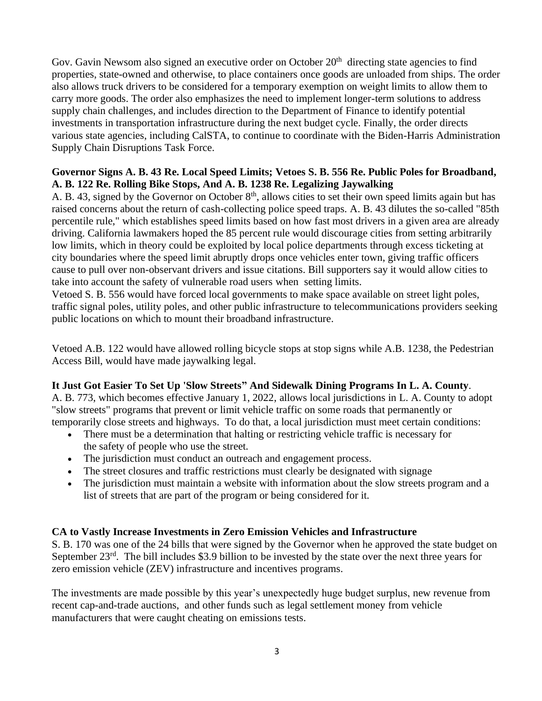Gov. Gavin Newsom also signed an [executive](https://www.gov.ca.gov/wp-content/uploads/2021/10/10.20.21-N-19-21-Supply-Chain-Resilience.pdf) order on October 20<sup>th</sup> directing state agencies to find properties, state-owned and otherwise, to place containers once goods are unloaded from ships. The order also allows truck drivers to be considered for a temporary exemption on weight limits to allow them to carry more goods. The order also emphasizes the need to implement longer-term solutions to address supply chain challenges, and includes direction to the Department of Finance to identify potential investments in transportation infrastructure during the next budget cycle. Finally, the order directs various state agencies, including CalSTA, to continue to coordinate with the Biden-Harris Administration Supply Chain Disruptions Task Force.

## **Governor Signs A. B. 43 Re. Local Speed Limits; Vetoes S. B. 556 Re. Public Poles for Broadband, A. B. 122 Re. Rolling Bike Stops, And A. B. 1238 Re. Legalizing Jaywalking**

A. B. 43, signed by the Governor on October 8<sup>th</sup>, allows cities to set their own speed limits again but has raised concerns about the return of cash-collecting police speed traps. A. B. 43 dilutes the so-called "85th percentile rule," which establishes speed limits based on how fast most drivers in a given area are already driving. California lawmakers hoped the 85 percent rule would discourage cities from setting arbitrarily low limits, which in theory could be exploited by local police departments through excess ticketing at city boundaries where the speed limit abruptly drops once vehicles enter town, giving traffic officers cause to pull over non-observant drivers and issue citations. Bill supporters say it would allow cities to take into account the safety of vulnerable road users when setting limits.

Vetoed S. B. 556 would have forced local governments to make space available on street light poles, traffic signal poles, utility poles, and other public infrastructure to telecommunications providers seeking public locations on which to mount their broadband infrastructure.

Vetoed [A.B. 122](https://leginfo.legislature.ca.gov/faces/billNavClient.xhtml?bill_id=202120220AB122) would have allowed rolling bicycle stops at stop signs while [A.B. 1238,](https://leginfo.legislature.ca.gov/faces/billNavClient.xhtml?bill_id=202120220AB1238) the Pedestrian Access Bill, would have made jaywalking legal.

## **It Just Got Easier To Set Up 'Slow Streets" And Sidewalk Dining Programs In L. A. County**.

A. B. 773, which becomes effective January 1, 2022, allows local jurisdictions in L. A. County to adopt "slow streets" programs that prevent or limit vehicle traffic on some roads that permanently or temporarily close streets and highways. To do that, a local jurisdiction must meet certain conditions:

- There must be a determination that halting or restricting vehicle traffic is necessary for the safety of people who use the street.
- The jurisdiction must conduct an outreach and engagement process.
- The street closures and traffic restrictions must clearly be designated with signage
- The jurisdiction must maintain a website with information about the slow streets program and a list of streets that are part of the program or being considered for it.

## **CA to Vastly Increase Investments in Zero Emission Vehicles and Infrastructure**

S. B. 170 was one of the 24 bills that were signed by the Governor when he approved the state budget on September 23<sup>rd</sup>. The bill includes \$3.9 billion to be invested by the state over the next three years for zero emission vehicle (ZEV) infrastructure and incentives programs.

The investments are made possible by this year's unexpectedly huge budget surplus, new revenue from recent cap-and-trade auctions, and other funds such as legal settlement money [from vehicle](https://ww2.arb.ca.gov/news/daimler-settles-high-emitting-diesel-violations)  [manufacturers that were caught cheating on emissions tests.](https://ww2.arb.ca.gov/news/daimler-settles-high-emitting-diesel-violations)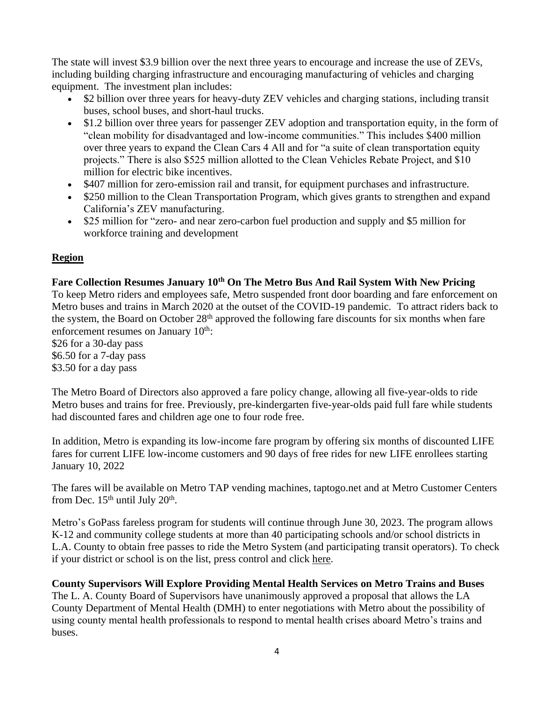The state will invest \$3.9 billion over the next three years to encourage and increase the use of ZEVs, including building charging infrastructure and encouraging manufacturing of vehicles and charging equipment. [The investment plan](https://www.energy.ca.gov/publications/2021/2021-2023-investment-plan-update-clean-transportation-program) includes:

- \$2 billion over three years for heavy-duty ZEV vehicles and charging stations, including transit buses, school buses, and short-haul trucks.
- \$1.2 billion over three years for passenger ZEV adoption and transportation equity, in the form of "clean mobility for disadvantaged and low-income communities." This includes \$400 million over three years to expand the Clean Cars 4 All and for "a suite of clean transportation equity projects." There is also \$525 million allotted to the Clean Vehicles Rebate Project, and \$10 million for electric bike incentives.
- \$407 million for zero-emission rail and transit, for equipment purchases and infrastructure.
- \$250 million to the Clean Transportation Program, which gives grants to strengthen and expand California's ZEV manufacturing.
- \$25 million for "zero- and near zero-carbon fuel production and supply and \$5 million for workforce training and development

## **Region**

## **Fare Collection Resumes January 10th On The Metro Bus And Rail System With New Pricing**

To keep Metro riders and employees safe, Metro suspended front door boarding and fare enforcement on Metro buses and trains in March 2020 at the outset of the COVID-19 pandemic. To attract riders back to the system, the Board on October 28<sup>th</sup> approved the following fare discounts for six months when fare enforcement resumes on January 10<sup>th</sup>:

\$26 for a 30-day pass \$6.50 for a 7-day pass \$3.50 for a day pass

The Metro Board of Directors also approved a [fare policy change,](https://boardagendas.metro.net/board-report/2021-0679/) allowing [all five-year-olds to ride](https://la.streetsblog.org/2021/10/18/metro-plans-to-close-loophole-that-charges-five-year-olds-full-fare/)  [Metro buses and trains for free.](https://la.streetsblog.org/2021/10/18/metro-plans-to-close-loophole-that-charges-five-year-olds-full-fare/) Previously, pre-kindergarten five-year-olds paid full fare while students had discounted fares and children age one to four rode free.

In addition, Metro is expanding its low-income fare program by offering six months of discounted LIFE fares for current LIFE low-income customers and 90 days of free rides for new LIFE enrollees starting January 10, 2022

The fares will be available on Metro TAP vending machines, taptogo.net and at Metro Customer Centers from Dec.  $15<sup>th</sup>$  until July  $20<sup>th</sup>$ .

Metro's GoPass fareless program for students will continue through June 30, 2023. The program allows K-12 and community college students at more than 40 participating schools and/or school districts in L.A. County to obtain free passes to ride the Metro System (and participating transit operators). To check if your district or school is on the list, press control and [click here.](http://www.metro.net/fareless)

## **County Supervisors Will Explore Providing Mental Health Services on Metro Trains and Buses**

The L. A. County Board of Supervisors have unanimously approved a proposal that allows the LA County Department of Mental Health (DMH) to enter negotiations with Metro about the possibility of using county mental health professionals to respond to mental health crises aboard Metro's trains and buses.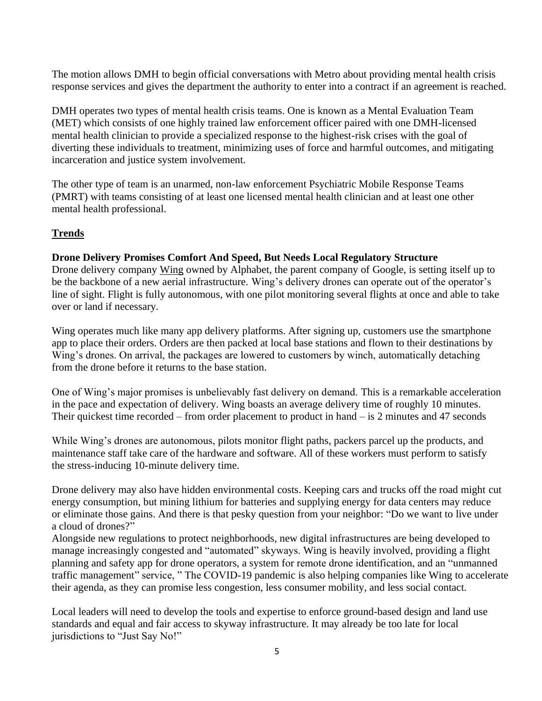The motion allows DMH to begin official conversations with Metro about providing mental health crisis response services and gives the department the authority to enter into a contract if an agreement is reached.

DMH operates two types of mental health crisis teams. One is known as a Mental Evaluation Team (MET) which consists of one highly trained law enforcement officer paired with one DMH-licensed mental health clinician to provide a specialized response to the highest-risk crises with the goal of diverting these individuals to treatment, minimizing uses of force and harmful outcomes, and mitigating incarceration and justice system involvement.

The other type of team is an unarmed, non-law enforcement Psychiatric Mobile Response Teams (PMRT) with teams consisting of at least one licensed mental health clinician and at least one other mental health professional.

## **Trends**

## **Drone Delivery Promises Comfort And Speed, But Needs Local Regulatory Structure**

Drone delivery company [Wing](https://wing.com/en_au/) owned by Alphabet, the parent company of Google, is setting itself up to be the backbone of a new aerial infrastructure. Wing's delivery drones can operate out of the operator's line of sight. Flight is fully autonomous, with one pilot monitoring several flights at once and able to take over or land if necessary.

Wing operates much like many app delivery platforms. After signing up, customers use the smartphone app to place their orders. Orders are then packed at local base stations and flown to their destinations by Wing's drones. On arrival, the packages are lowered to customers by winch, automatically detaching from the drone before it returns to the base station.

One of Wing's major promises is unbelievably fast delivery on demand. This is a remarkable acceleration in the pace and expectation of delivery. Wing boasts an average delivery time of roughly 10 minutes. Their quickest time recorded – from order placement to product in hand – is [2 minutes and 47 seconds](https://wing.com/en_au/how-it-works/)

While Wing's drones are autonomous, pilots monitor flight paths, packers parcel up the products, and maintenance staff take care of the hardware and software. All of these workers must perform to satisfy the stress-inducing 10-minute delivery time.

Drone delivery may also have hidden environmental costs. Keeping cars and trucks off the road might [cut](https://www.nature.com/articles/s41467-017-02411-5)  [energy consumption,](https://www.nature.com/articles/s41467-017-02411-5) but mining lithium for batteries and supplying [energy for data centers](https://journals.sagepub.com/doi/abs/10.1177/14614448211017887) may reduce or eliminate those gains. And there is that pesky question from your neighbor: "Do we want to live under a cloud of drones?"

Alongside [new regulations](https://www.infrastructure.gov.au/aviation/technology/files/national-emerging-aviation-technologies-policy-statement.pdf) to protect neighborhoods, new digital infrastructures are being developed to manage increasingly congested and "automated" skyways. Wing is heavily involved, providing a [flight](https://www.bloomberg.com/news/articles/2021-06-29/alphabet-jumps-into-drone-air-traffic-control-with-flight-app)  [planning and safety app](https://www.bloomberg.com/news/articles/2021-06-29/alphabet-jumps-into-drone-air-traffic-control-with-flight-app) for drone operators, a system for remote drone identification, and an ["unmanned](https://wing.com/en_au/unmanned-traffic-management/)  [traffic management"](https://wing.com/en_au/unmanned-traffic-management/) service, " The COVID-19 pandemic is also helping companies like Wing to accelerate their agenda, as they can promise less congestion, less consumer mobility, and less social contact.

Local leaders will need to develop the tools and expertise to enforce ground-based design and land use standards and equal and fair access to skyway infrastructure. It may already be too late for local jurisdictions to "Just Say No!"